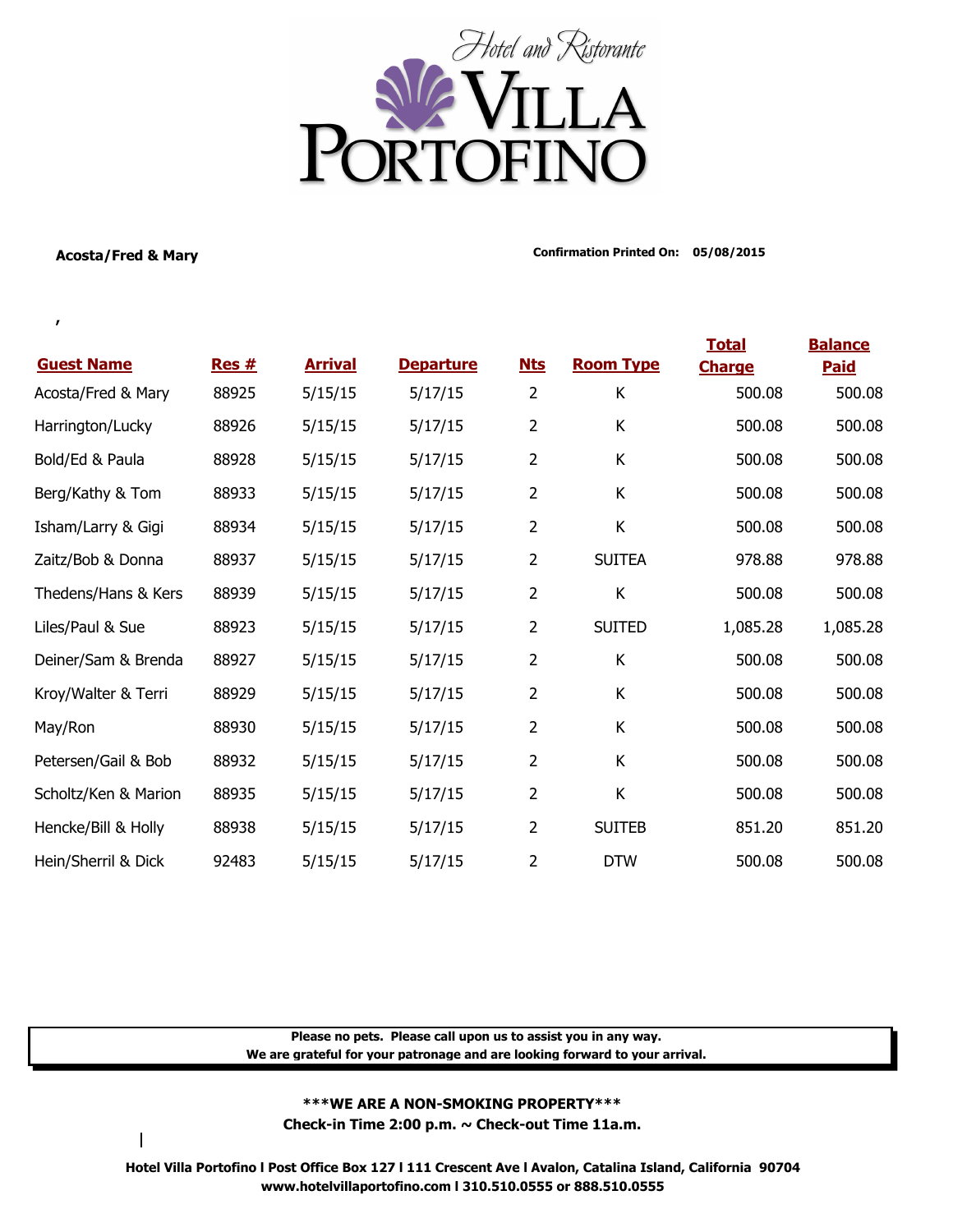

**,** 

**Acosta/Fred & Mary Confirmation Printed On: 05/08/2015**

|                      |       |                |                  |                |                  | <b>Total</b>  | <b>Balance</b> |
|----------------------|-------|----------------|------------------|----------------|------------------|---------------|----------------|
| <b>Guest Name</b>    | Res#  | <b>Arrival</b> | <b>Departure</b> | <u>Nts</u>     | <b>Room Type</b> | <b>Charge</b> | <b>Paid</b>    |
| Acosta/Fred & Mary   | 88925 | 5/15/15        | 5/17/15          | 2              | К                | 500.08        | 500.08         |
| Harrington/Lucky     | 88926 | 5/15/15        | 5/17/15          | $\overline{2}$ | К                | 500.08        | 500.08         |
| Bold/Ed & Paula      | 88928 | 5/15/15        | 5/17/15          | $\overline{2}$ | К                | 500.08        | 500.08         |
| Berg/Kathy & Tom     | 88933 | 5/15/15        | 5/17/15          | $\overline{2}$ | К                | 500.08        | 500.08         |
| Isham/Larry & Gigi   | 88934 | 5/15/15        | 5/17/15          | $\overline{2}$ | К                | 500.08        | 500.08         |
| Zaitz/Bob & Donna    | 88937 | 5/15/15        | 5/17/15          | $\overline{2}$ | <b>SUITEA</b>    | 978.88        | 978.88         |
| Thedens/Hans & Kers  | 88939 | 5/15/15        | 5/17/15          | $\overline{2}$ | К                | 500.08        | 500.08         |
| Liles/Paul & Sue     | 88923 | 5/15/15        | 5/17/15          | $\overline{2}$ | <b>SUITED</b>    | 1,085.28      | 1,085.28       |
| Deiner/Sam & Brenda  | 88927 | 5/15/15        | 5/17/15          | $\overline{2}$ | K                | 500.08        | 500.08         |
| Kroy/Walter & Terri  | 88929 | 5/15/15        | 5/17/15          | $\overline{2}$ | К                | 500.08        | 500.08         |
| May/Ron              | 88930 | 5/15/15        | 5/17/15          | $\overline{2}$ | К                | 500.08        | 500.08         |
| Petersen/Gail & Bob  | 88932 | 5/15/15        | 5/17/15          | $\overline{2}$ | К                | 500.08        | 500.08         |
| Scholtz/Ken & Marion | 88935 | 5/15/15        | 5/17/15          | $\overline{2}$ | К                | 500.08        | 500.08         |
| Hencke/Bill & Holly  | 88938 | 5/15/15        | 5/17/15          | $\overline{2}$ | <b>SUITEB</b>    | 851.20        | 851.20         |
| Hein/Sherril & Dick  | 92483 | 5/15/15        | 5/17/15          | $\overline{2}$ | <b>DTW</b>       | 500.08        | 500.08         |

**Please no pets. Please call upon us to assist you in any way. We are grateful for your patronage and are looking forward to your arrival.**

## **\*\*\*WE ARE A NON-SMOKING PROPERTY\*\*\***

**Check-in Time 2:00 p.m. ~ Check-out Time 11a.m.**

**Hotel Villa Portofino l Post Office Box 127 l 111 Crescent Ave l Avalon, Catalina Island, California 90704 www.hotelvillaportofino.com l 310.510.0555 or 888.510.0555**